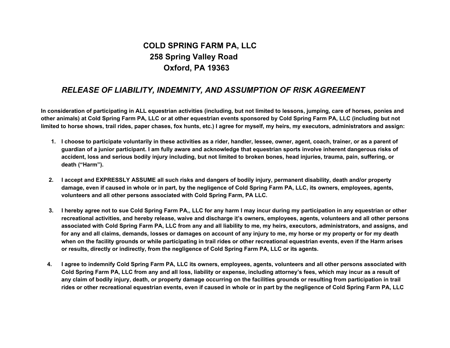## **COLD SPRING FARM PA, LLC 258 Spring Valley Road Oxford, PA 19363**

## *RELEASE OF LIABILITY, INDEMNITY, AND ASSUMPTION OF RISK AGREEMENT*

In consideration of participating in ALL equestrian activities (including, but not limited to lessons, jumping, care of horses, ponies and other animals) at Cold Spring Farm PA, LLC or at other equestrian events sponsored by Cold Spring Farm PA, LLC (including but not limited to horse shows, trail rides, paper chases, fox hunts, etc.) I agree for myself, my heirs, my executors, administrators and assign:

- 1. I choose to participate voluntarily in these activities as a rider, handler, lessee, owner, agent, coach, trainer, or as a parent of guardian of a junior participant. I am fully aware and acknowledge that equestrian sports involve inherent dangerous risks of accident, loss and serious bodily injury including, but not limited to broken bones, head injuries, trauma, pain, suffering, or **death ("Harm").**
- 2. I accept and EXPRESSLY ASSUME all such risks and dangers of bodily injury, permanent disability, death and/or property damage, even if caused in whole or in part, by the negligence of Cold Spring Farm PA, LLC, its owners, employees, agents, **volunteers and all other persons associated with Cold Spring Farm, PA LLC.**
- 3. I hereby agree not to sue Cold Spring Farm PA., LLC for any harm I may incur during my participation in any equestrian or other recreational activities, and hereby release, waive and discharge it's owners, employees, agents, volunteers and all other persons associated with Cold Spring Farm PA, LLC from any and all liability to me, my heirs, executors, administrators, and assigns, and for any and all claims, demands, losses or damages on account of any injury to me, my horse or my property or for my death when on the facility grounds or while participating in trail rides or other recreational equestrian events, even if the Harm arises **or results, directly or indirectly, from the negligence of Cold Spring Farm PA, LLC or its agents.**
- 4. I agree to indemnify Cold Spring Farm PA, LLC its owners, employees, agents, volunteers and all other persons associated with Cold Spring Farm PA, LLC from any and all loss, liability or expense, including attorney's fees, which may incur as a result of any claim of bodily injury, death, or property damage occurring on the facilities grounds or resulting from participation in trail rides or other recreational equestrian events, even if caused in whole or in part by the negligence of Cold Spring Farm PA, LLC